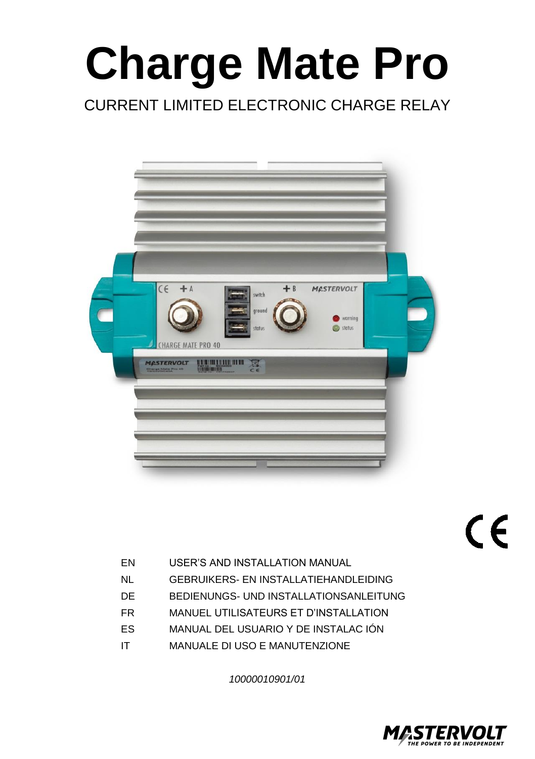## CURRENT LIMITED ELECTRONIC CHARGE RELAY



 $C \in$ 

- EN USER'S AND INSTALLATION MANUAL
- NL GEBRUIKERS- EN INSTALLATIEHANDLEIDING
- DE BEDIENUNGS- UND INSTALLATIONSANLEITUNG
- FR MANUEL UTILISATEURS ET D'INSTALLATION
- ES MANUAL DEL USUARIO Y DE INSTALAC IÓN
- IT MANUALE DI USO E MANUTENZIONE

*10000010901/01*

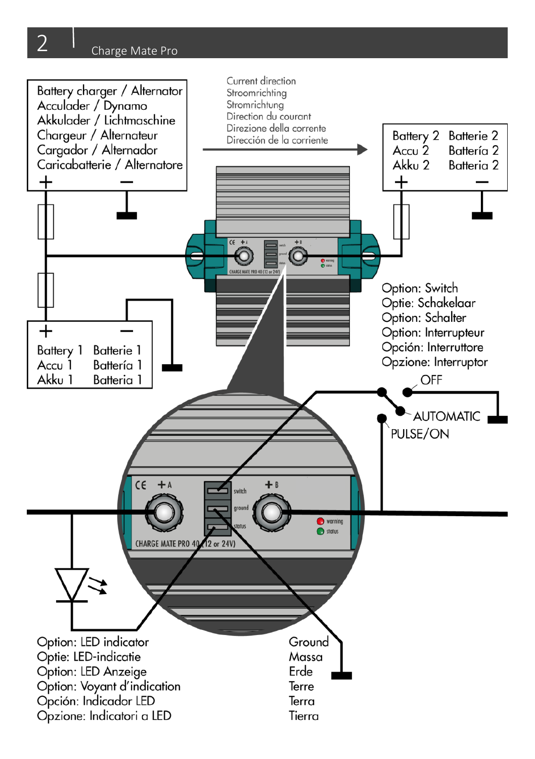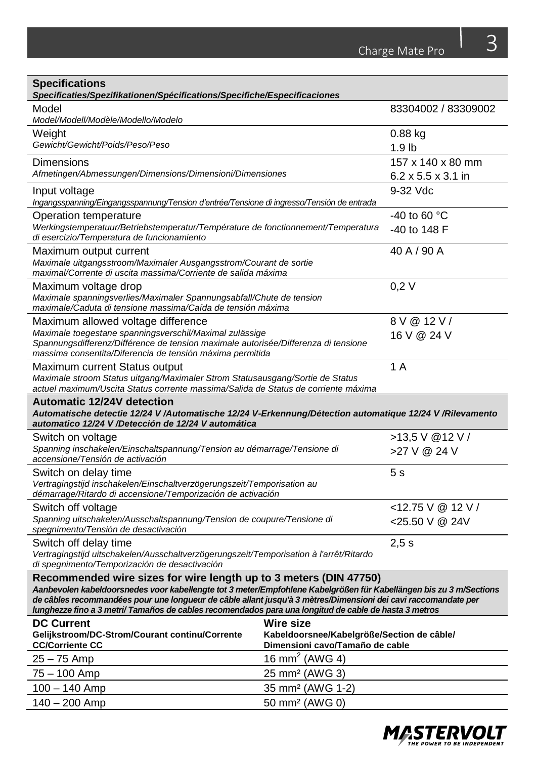| <b>Specifications</b><br>Specificaties/Spezifikationen/Spécifications/Specifiche/Especificaciones                                                                                                                                                                                                                                                                                                                  |                                                                               |                        |
|--------------------------------------------------------------------------------------------------------------------------------------------------------------------------------------------------------------------------------------------------------------------------------------------------------------------------------------------------------------------------------------------------------------------|-------------------------------------------------------------------------------|------------------------|
| Model                                                                                                                                                                                                                                                                                                                                                                                                              |                                                                               | 83304002 / 83309002    |
| Model/Modell/Modèle/Modello/Modelo                                                                                                                                                                                                                                                                                                                                                                                 |                                                                               |                        |
| Weight                                                                                                                                                                                                                                                                                                                                                                                                             |                                                                               | $0.88$ kg              |
| Gewicht/Gewicht/Poids/Peso/Peso                                                                                                                                                                                                                                                                                                                                                                                    |                                                                               | 1.9 <sub>lb</sub>      |
| Dimensions                                                                                                                                                                                                                                                                                                                                                                                                         |                                                                               | 157 x 140 x 80 mm      |
| Afmetingen/Abmessungen/Dimensions/Dimensioni/Dimensiones                                                                                                                                                                                                                                                                                                                                                           |                                                                               | 6.2 x 5.5 x 3.1 in     |
| Input voltage<br>Ingangsspanning/Eingangsspannung/Tension d'entrée/Tensione di ingresso/Tensión de entrada                                                                                                                                                                                                                                                                                                         |                                                                               | 9-32 Vdc               |
| Operation temperature                                                                                                                                                                                                                                                                                                                                                                                              |                                                                               | -40 to 60 $^{\circ}$ C |
| Werkingstemperatuur/Betriebstemperatur/Température de fonctionnement/Temperatura<br>di esercizio/Temperatura de funcionamiento                                                                                                                                                                                                                                                                                     |                                                                               | -40 to 148 F           |
| Maximum output current<br>Maximale uitgangsstroom/Maximaler Ausgangsstrom/Courant de sortie<br>maximal/Corrente di uscita massima/Corriente de salida máxima                                                                                                                                                                                                                                                       |                                                                               | 40 A / 90 A            |
| Maximum voltage drop<br>Maximale spanningsverlies/Maximaler Spannungsabfall/Chute de tension<br>maximale/Caduta di tensione massima/Caída de tensión máxima                                                                                                                                                                                                                                                        |                                                                               | 0.2V                   |
| Maximum allowed voltage difference                                                                                                                                                                                                                                                                                                                                                                                 |                                                                               | 8 V @ 12 V /           |
| Maximale toegestane spanningsverschil/Maximal zulässige                                                                                                                                                                                                                                                                                                                                                            |                                                                               | 16 V @ 24 V            |
| Spannungsdifferenz/Différence de tension maximale autorisée/Differenza di tensione<br>massima consentita/Diferencia de tensión máxima permitida                                                                                                                                                                                                                                                                    |                                                                               |                        |
| 1 A<br>Maximum current Status output<br>Maximale stroom Status uitgang/Maximaler Strom Statusausgang/Sortie de Status<br>actuel maximum/Uscita Status corrente massima/Salida de Status de corriente máxima                                                                                                                                                                                                        |                                                                               |                        |
| <b>Automatic 12/24V detection</b><br>Automatische detectie 12/24 V /Automatische 12/24 V-Erkennung/Détection automatique 12/24 V /Rilevamento<br>automatico 12/24 V /Detección de 12/24 V automática                                                                                                                                                                                                               |                                                                               |                        |
| Switch on voltage                                                                                                                                                                                                                                                                                                                                                                                                  |                                                                               | >13,5 V @12 V /        |
| Spanning inschakelen/Einschaltspannung/Tension au démarrage/Tensione di<br>accensione/Tensión de activación                                                                                                                                                                                                                                                                                                        |                                                                               | >27 V @ 24 V           |
| Switch on delay time                                                                                                                                                                                                                                                                                                                                                                                               |                                                                               | 5 s                    |
| Vertragingstijd inschakelen/Einschaltverzögerungszeit/Temporisation au<br>démarrage/Ritardo di accensione/Temporización de activación                                                                                                                                                                                                                                                                              |                                                                               |                        |
| Switch off voltage                                                                                                                                                                                                                                                                                                                                                                                                 |                                                                               | $<$ 12.75 V @ 12 V /   |
| Spanning uitschakelen/Ausschaltspannung/Tension de coupure/Tensione di<br>spegnimento/Tensión de desactivación                                                                                                                                                                                                                                                                                                     |                                                                               | <25.50 V @ 24V         |
| Switch off delay time                                                                                                                                                                                                                                                                                                                                                                                              |                                                                               | 2.5 s                  |
| Vertragingstijd uitschakelen/Ausschaltverzögerungszeit/Temporisation à l'arrêt/Ritardo<br>di spegnimento/Temporización de desactivación                                                                                                                                                                                                                                                                            |                                                                               |                        |
| Recommended wire sizes for wire length up to 3 meters (DIN 47750)<br>Aanbevolen kabeldoorsnedes voor kabellengte tot 3 meter/Empfohlene Kabelgrößen für Kabellängen bis zu 3 m/Sections<br>de câbles recommandées pour une longueur de câble allant jusqu'à 3 mètres/Dimensioni dei cavi raccomandate per<br>lunghezze fino a 3 metri/ Tamaños de cables recomendados para una longitud de cable de hasta 3 metros |                                                                               |                        |
| <b>DC Current</b>                                                                                                                                                                                                                                                                                                                                                                                                  | Wire size                                                                     |                        |
| Gelijkstroom/DC-Strom/Courant continu/Corrente<br><b>CC/Corriente CC</b>                                                                                                                                                                                                                                                                                                                                           | Kabeldoorsnee/Kabelgröße/Section de câble/<br>Dimensioni cavo/Tamaño de cable |                        |
| 25 – 75 Amp                                                                                                                                                                                                                                                                                                                                                                                                        | 16 mm <sup>2</sup> (AWG 4)                                                    |                        |
| 75 – 100 Amp                                                                                                                                                                                                                                                                                                                                                                                                       | 25 mm <sup>2</sup> (AWG 3)                                                    |                        |
| $100 - 140$ Amp<br>35 mm <sup>2</sup> (AWG 1-2)                                                                                                                                                                                                                                                                                                                                                                    |                                                                               |                        |

140 – 200 Amp 50 mm² (AWG 0)

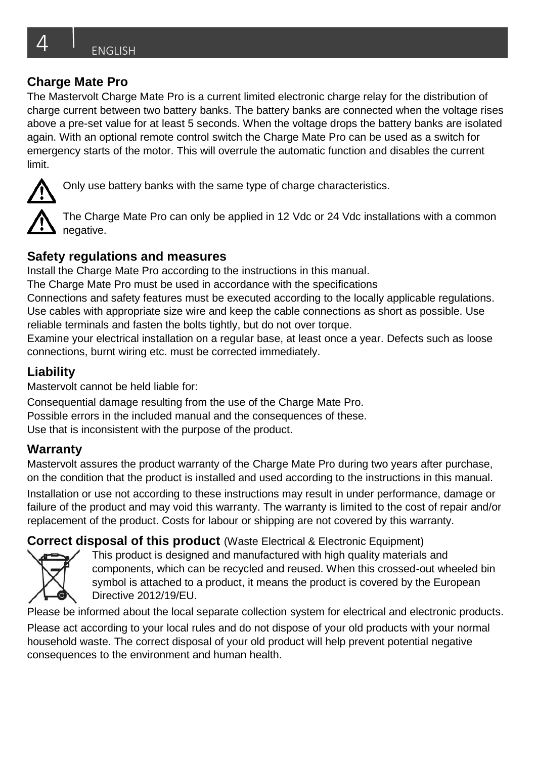The Mastervolt Charge Mate Pro is a current limited electronic charge relay for the distribution of charge current between two battery banks. The battery banks are connected when the voltage rises above a pre-set value for at least 5 seconds. When the voltage drops the battery banks are isolated again. With an optional remote control switch the Charge Mate Pro can be used as a switch for emergency starts of the motor. This will overrule the automatic function and disables the current limit.



Only use battery banks with the same type of charge characteristics.

The Charge Mate Pro can only be applied in 12 Vdc or 24 Vdc installations with a common negative.

#### **Safety regulations and measures**

Install the Charge Mate Pro according to the instructions in this manual.

The Charge Mate Pro must be used in accordance with the specifications

Connections and safety features must be executed according to the locally applicable regulations. Use cables with appropriate size wire and keep the cable connections as short as possible. Use reliable terminals and fasten the bolts tightly, but do not over torque.

Examine your electrical installation on a regular base, at least once a year. Defects such as loose connections, burnt wiring etc. must be corrected immediately.

## **Liability**

Mastervolt cannot be held liable for:

Consequential damage resulting from the use of the Charge Mate Pro. Possible errors in the included manual and the consequences of these. Use that is inconsistent with the purpose of the product.

## **Warranty**

Mastervolt assures the product warranty of the Charge Mate Pro during two years after purchase, on the condition that the product is installed and used according to the instructions in this manual. Installation or use not according to these instructions may result in under performance, damage or failure of the product and may void this warranty. The warranty is limited to the cost of repair and/or replacement of the product. Costs for labour or shipping are not covered by this warranty.

## **Correct disposal of this product** (Waste Electrical & Electronic Equipment)



This product is designed and manufactured with high quality materials and components, which can be recycled and reused. When this crossed-out wheeled bin symbol is attached to a product, it means the product is covered by the European Directive 2012/19/EU.

Please be informed about the local separate collection system for electrical and electronic products.

Please act according to your local rules and do not dispose of your old products with your normal household waste. The correct disposal of your old product will help prevent potential negative consequences to the environment and human health.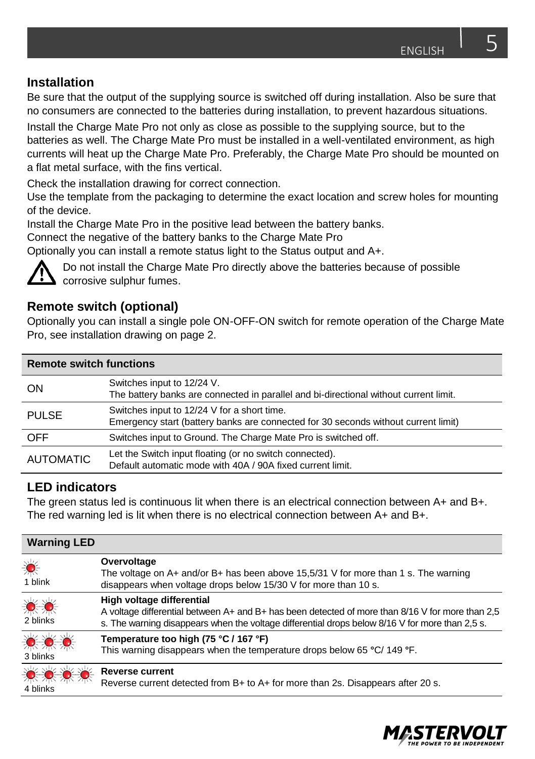#### **Installation**

Be sure that the output of the supplying source is switched off during installation. Also be sure that no consumers are connected to the batteries during installation, to prevent hazardous situations.

Install the Charge Mate Pro not only as close as possible to the supplying source, but to the batteries as well. The Charge Mate Pro must be installed in a well-ventilated environment, as high currents will heat up the Charge Mate Pro. Preferably, the Charge Mate Pro should be mounted on a flat metal surface, with the fins vertical.

Check the installation drawing for correct connection.

Use the template from the packaging to determine the exact location and screw holes for mounting of the device.

Install the Charge Mate Pro in the positive lead between the battery banks.

Connect the negative of the battery banks to the Charge Mate Pro

Optionally you can install a remote status light to the Status output and A+.



Do not install the Charge Mate Pro directly above the batteries because of possible corrosive sulphur fumes.

#### **Remote switch (optional)**

Optionally you can install a single pole ON-OFF-ON switch for remote operation of the Charge Mate Pro, see installation drawing on page 2.

| <b>Remote switch functions</b> |                                                                                                                                   |  |
|--------------------------------|-----------------------------------------------------------------------------------------------------------------------------------|--|
| ON                             | Switches input to 12/24 V.<br>The battery banks are connected in parallel and bi-directional without current limit.               |  |
| <b>PULSE</b>                   | Switches input to 12/24 V for a short time.<br>Emergency start (battery banks are connected for 30 seconds without current limit) |  |
| <b>OFF</b>                     | Switches input to Ground. The Charge Mate Pro is switched off.                                                                    |  |
| <b>AUTOMATIC</b>               | Let the Switch input floating (or no switch connected).<br>Default automatic mode with 40A / 90A fixed current limit.             |  |

#### **LED indicators**

The green status led is continuous lit when there is an electrical connection between A+ and B+. The red warning led is lit when there is no electrical connection between A+ and B+.

| <b>Warning LED</b> |                                                                                                                                                                                                                                  |
|--------------------|----------------------------------------------------------------------------------------------------------------------------------------------------------------------------------------------------------------------------------|
| 《<br>1 blink       | Overvoltage<br>The voltage on A+ and/or B+ has been above 15,5/31 V for more than 1 s. The warning<br>disappears when voltage drops below 15/30 V for more than 10 s.                                                            |
| 激激<br>2 blinks     | High voltage differential<br>A voltage differential between A+ and B+ has been detected of more than 8/16 V for more than 2,5<br>s. The warning disappears when the voltage differential drops below 8/16 V for more than 2.5 s. |
| ☀ ☀ ☀<br>3 blinks  | Temperature too high (75 °C / 167 °F)<br>This warning disappears when the temperature drops below 65 °C/ 149 °F.                                                                                                                 |
| ☀☀☀<br>4 blinks    | <b>Reverse current</b><br>Reverse current detected from B+ to A+ for more than 2s. Disappears after 20 s.                                                                                                                        |

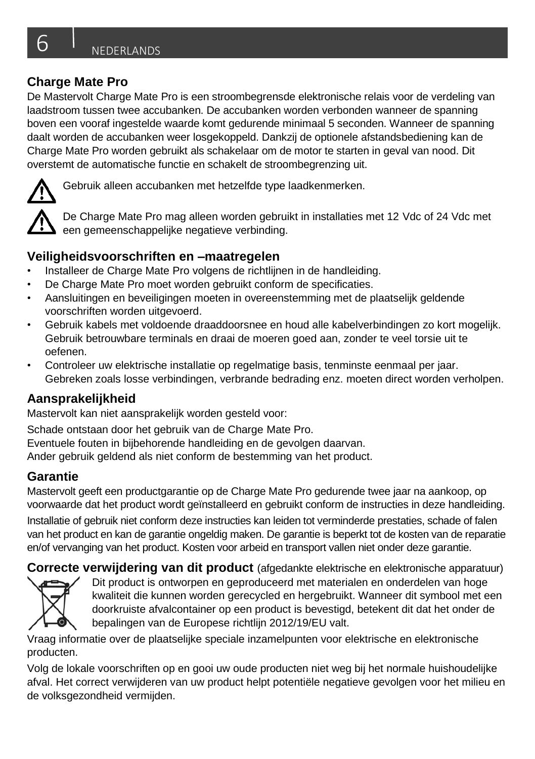De Mastervolt Charge Mate Pro is een stroombegrensde elektronische relais voor de verdeling van laadstroom tussen twee accubanken. De accubanken worden verbonden wanneer de spanning boven een vooraf ingestelde waarde komt gedurende minimaal 5 seconden. Wanneer de spanning daalt worden de accubanken weer losgekoppeld. Dankzij de optionele afstandsbediening kan de Charge Mate Pro worden gebruikt als schakelaar om de motor te starten in geval van nood. Dit overstemt de automatische functie en schakelt de stroombegrenzing uit.



Gebruik alleen accubanken met hetzelfde type laadkenmerken.

De Charge Mate Pro mag alleen worden gebruikt in installaties met 12 Vdc of 24 Vdc met een gemeenschappelijke negatieve verbinding.

## **Veiligheidsvoorschriften en –maatregelen**

- Installeer de Charge Mate Pro volgens de richtlijnen in de handleiding.
- De Charge Mate Pro moet worden gebruikt conform de specificaties.
- Aansluitingen en beveiligingen moeten in overeenstemming met de plaatselijk geldende voorschriften worden uitgevoerd.
- Gebruik kabels met voldoende draaddoorsnee en houd alle kabelverbindingen zo kort mogelijk. Gebruik betrouwbare terminals en draai de moeren goed aan, zonder te veel torsie uit te oefenen.
- Controleer uw elektrische installatie op regelmatige basis, tenminste eenmaal per jaar. Gebreken zoals losse verbindingen, verbrande bedrading enz. moeten direct worden verholpen.

## **Aansprakelijkheid**

Mastervolt kan niet aansprakelijk worden gesteld voor:

Schade ontstaan door het gebruik van de Charge Mate Pro.

Eventuele fouten in bijbehorende handleiding en de gevolgen daarvan.

Ander gebruik geldend als niet conform de bestemming van het product.

## **Garantie**

Mastervolt geeft een productgarantie op de Charge Mate Pro gedurende twee jaar na aankoop, op voorwaarde dat het product wordt geïnstalleerd en gebruikt conform de instructies in deze handleiding.

Installatie of gebruik niet conform deze instructies kan leiden tot verminderde prestaties, schade of falen van het product en kan de garantie ongeldig maken. De garantie is beperkt tot de kosten van de reparatie en/of vervanging van het product. Kosten voor arbeid en transport vallen niet onder deze garantie.

**Correcte verwijdering van dit product** (afgedankte elektrische en elektronische apparatuur) Dit product is ontworpen en geproduceerd met materialen en onderdelen van hoge kwaliteit die kunnen worden gerecycled en hergebruikt. Wanneer dit symbool met een



doorkruiste afvalcontainer op een product is bevestigd, betekent dit dat het onder de bepalingen van de Europese richtlijn 2012/19/EU valt.

Vraag informatie over de plaatselijke speciale inzamelpunten voor elektrische en elektronische producten.

Volg de lokale voorschriften op en gooi uw oude producten niet weg bij het normale huishoudelijke afval. Het correct verwijderen van uw product helpt potentiële negatieve gevolgen voor het milieu en de volksgezondheid vermijden.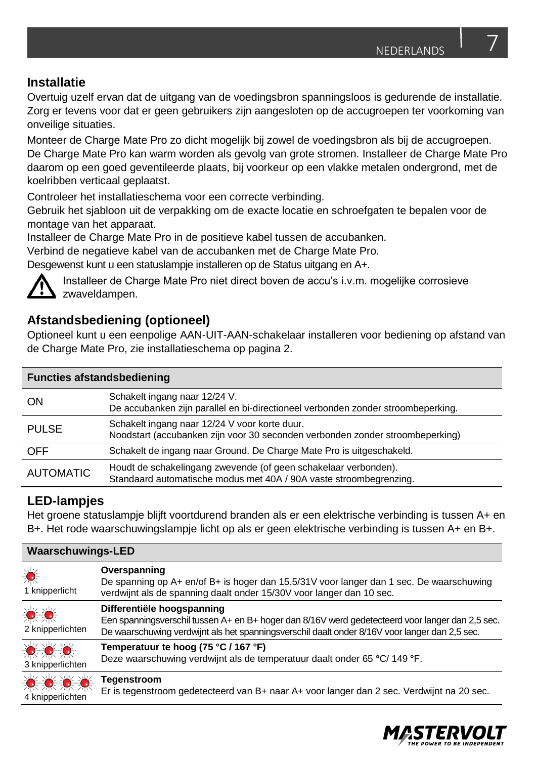#### **Installatie**

Overtuig uzelf ervan dat de uitgang van de voedingsbron spanningsloos is gedurende de installatie. Zorg er tevens voor dat er geen gebruikers zijn aangesloten op de accugroepen ter voorkoming van onveilige situaties.

Monteer de Charge Mate Pro zo dicht mogelijk bij zowel de voedingsbron als bij de accugroepen. De Charge Mate Pro kan warm worden als gevolg van grote stromen. Installeer de Charge Mate Pro daarom op een goed geventileerde plaats, bij voorkeur op een vlakke metalen ondergrond, met de koelribben verticaal geplaatst.

Controleer het installatieschema voor een correcte verbinding.

Gebruik het sjabloon uit de verpakking om de exacte locatie en schroefgaten te bepalen voor de montage van het apparaat.

Installeer de Charge Mate Pro in de positieve kabel tussen de accubanken.

Verbind de negatieve kabel van de accubanken met de Charge Mate Pro.

Desgewenst kunt u een statuslampje installeren op de Status uitgang en A+.



Installeer de Charge Mate Pro niet direct boven de accu's i.v.m. mogelijke corrosieve zwaveldampen.

## **Afstandsbediening (optioneel)**

Optioneel kunt u een eenpolige AAN-UIT-AAN-schakelaar installeren voor bediening op afstand van de Charge Mate Pro, zie installatieschema op pagina 2.

| <b>Functies afstandsbediening</b> |                                                                                                                                       |  |
|-----------------------------------|---------------------------------------------------------------------------------------------------------------------------------------|--|
| ON                                | Schakelt ingang naar 12/24 V.<br>De accubanken zijn parallel en bi-directioneel verbonden zonder stroombeperking.                     |  |
| <b>PULSE</b>                      | Schakelt ingang naar 12/24 V voor korte duur.<br>Noodstart (accubanken zijn voor 30 seconden verbonden zonder stroombeperking)        |  |
| <b>OFF</b>                        | Schakelt de ingang naar Ground. De Charge Mate Pro is uitgeschakeld.                                                                  |  |
| <b>AUTOMATIC</b>                  | Houdt de schakelingang zwevende (of geen schakelaar verbonden).<br>Standaard automatische modus met 40A / 90A vaste stroombegrenzing. |  |

## **LED-lampjes**

Het groene statuslampje blijft voortdurend branden als er een elektrische verbinding is tussen A+ en B+. Het rode waarschuwingslampje licht op als er geen elektrische verbinding is tussen A+ en B+.

| <b>Waarschuwings-LED</b>                          |                                                                                                                                                                                                                                  |  |
|---------------------------------------------------|----------------------------------------------------------------------------------------------------------------------------------------------------------------------------------------------------------------------------------|--|
| 《<br>1 knipperlicht                               | Overspanning<br>De spanning op A+ en/of B+ is hoger dan 15,5/31V voor langer dan 1 sec. De waarschuwing<br>verdwijnt als de spanning daalt onder 15/30V voor langer dan 10 sec.                                                  |  |
| ☀☀<br>2 knipperlichten                            | Differentiële hoogspanning<br>Een spanningsverschil tussen A+ en B+ hoger dan 8/16V werd gedetecteerd voor langer dan 2,5 sec.<br>De waarschuwing verdwijnt als het spanningsverschil daalt onder 8/16V voor langer dan 2,5 sec. |  |
| $\bullet$ $\bullet$<br>3 knipperlichten           | Temperatuur te hoog (75 °C / 167 °F)<br>Deze waarschuwing verdwijnt als de temperatuur daalt onder 65 °C/ 149 °F.                                                                                                                |  |
| $\bullet$ $\bullet$ $\bullet$<br>4 knipperlichten | Tegenstroom<br>Er is tegenstroom gedetecteerd van B+ naar A+ voor langer dan 2 sec. Verdwijnt na 20 sec.                                                                                                                         |  |

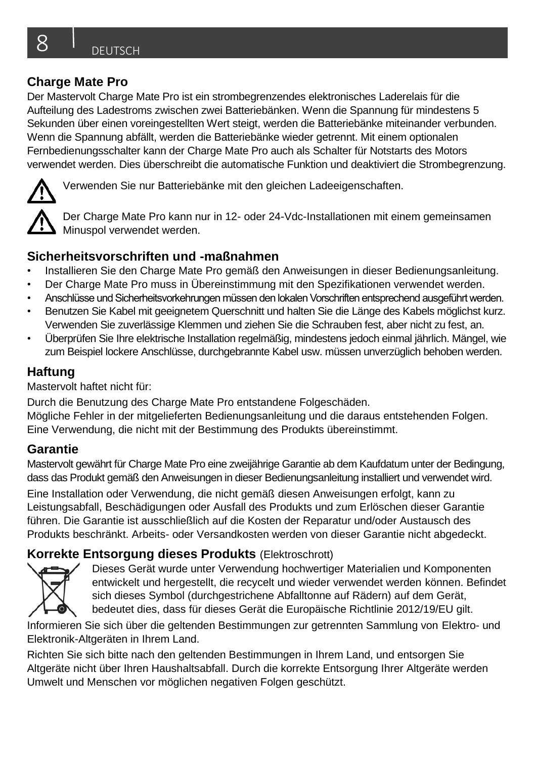Der Mastervolt Charge Mate Pro ist ein strombegrenzendes elektronisches Laderelais für die Aufteilung des Ladestroms zwischen zwei Batteriebänken. Wenn die Spannung für mindestens 5 Sekunden über einen voreingestellten Wert steigt, werden die Batteriebänke miteinander verbunden. Wenn die Spannung abfällt, werden die Batteriebänke wieder getrennt. Mit einem optionalen Fernbedienungsschalter kann der Charge Mate Pro auch als Schalter für Notstarts des Motors verwendet werden. Dies überschreibt die automatische Funktion und deaktiviert die Strombegrenzung.



Verwenden Sie nur Batteriebänke mit den gleichen Ladeeigenschaften.

Der Charge Mate Pro kann nur in 12- oder 24-Vdc-Installationen mit einem gemeinsamen Minuspol verwendet werden.

#### **Sicherheitsvorschriften und -maßnahmen**

- Installieren Sie den Charge Mate Pro gemäß den Anweisungen in dieser Bedienungsanleitung.
- Der Charge Mate Pro muss in Übereinstimmung mit den Spezifikationen verwendet werden.
- Anschlüsse und Sicherheitsvorkehrungen müssen den lokalen Vorschriften entsprechend ausgeführt werden.
- Benutzen Sie Kabel mit geeignetem Querschnitt und halten Sie die Länge des Kabels möglichst kurz. Verwenden Sie zuverlässige Klemmen und ziehen Sie die Schrauben fest, aber nicht zu fest, an.
- Überprüfen Sie Ihre elektrische Installation regelmäßig, mindestens jedoch einmal jährlich. Mängel, wie zum Beispiel lockere Anschlüsse, durchgebrannte Kabel usw. müssen unverzüglich behoben werden.

## **Haftung**

Mastervolt haftet nicht für:

Durch die Benutzung des Charge Mate Pro entstandene Folgeschäden.

Mögliche Fehler in der mitgelieferten Bedienungsanleitung und die daraus entstehenden Folgen. Eine Verwendung, die nicht mit der Bestimmung des Produkts übereinstimmt.

## **Garantie**

Mastervolt gewährt für Charge Mate Pro eine zweijährige Garantie ab dem Kaufdatum unter der Bedingung, dass das Produkt gemäß den Anweisungen in dieser Bedienungsanleitung installiert und verwendet wird. Eine Installation oder Verwendung, die nicht gemäß diesen Anweisungen erfolgt, kann zu Leistungsabfall, Beschädigungen oder Ausfall des Produkts und zum Erlöschen dieser Garantie führen. Die Garantie ist ausschließlich auf die Kosten der Reparatur und/oder Austausch des Produkts beschränkt. Arbeits- oder Versandkosten werden von dieser Garantie nicht abgedeckt.

## **Korrekte Entsorgung dieses Produkts** (Elektroschrott)



Dieses Gerät wurde unter Verwendung hochwertiger Materialien und Komponenten entwickelt und hergestellt, die recycelt und wieder verwendet werden können. Befindet sich dieses Symbol (durchgestrichene Abfalltonne auf Rädern) auf dem Gerät, bedeutet dies, dass für dieses Gerät die Europäische Richtlinie 2012/19/EU gilt.

Informieren Sie sich über die geltenden Bestimmungen zur getrennten Sammlung von Elektro- und Elektronik-Altgeräten in Ihrem Land.

Richten Sie sich bitte nach den geltenden Bestimmungen in Ihrem Land, und entsorgen Sie Altgeräte nicht über Ihren Haushaltsabfall. Durch die korrekte Entsorgung Ihrer Altgeräte werden Umwelt und Menschen vor möglichen negativen Folgen geschützt.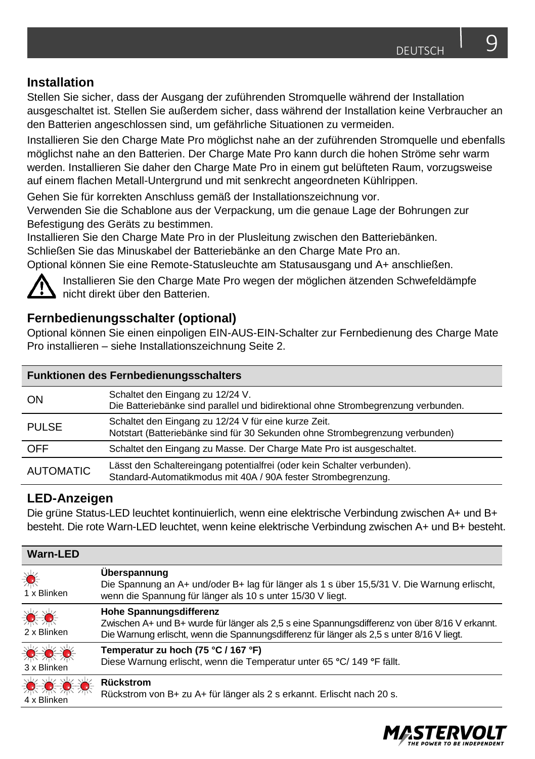#### **Installation**

Stellen Sie sicher, dass der Ausgang der zuführenden Stromquelle während der Installation ausgeschaltet ist. Stellen Sie außerdem sicher, dass während der Installation keine Verbraucher an den Batterien angeschlossen sind, um gefährliche Situationen zu vermeiden.

Installieren Sie den Charge Mate Pro möglichst nahe an der zuführenden Stromquelle und ebenfalls möglichst nahe an den Batterien. Der Charge Mate Pro kann durch die hohen Ströme sehr warm werden. Installieren Sie daher den Charge Mate Pro in einem gut belüfteten Raum, vorzugsweise auf einem flachen Metall-Untergrund und mit senkrecht angeordneten Kühlrippen.

Gehen Sie für korrekten Anschluss gemäß der Installationszeichnung vor.

Verwenden Sie die Schablone aus der Verpackung, um die genaue Lage der Bohrungen zur Befestigung des Geräts zu bestimmen.

Installieren Sie den Charge Mate Pro in der Plusleitung zwischen den Batteriebänken.

Schließen Sie das Minuskabel der Batteriebänke an den Charge Mate Pro an.

Optional können Sie eine Remote-Statusleuchte am Statusausgang und A+ anschließen.



Installieren Sie den Charge Mate Pro wegen der möglichen ätzenden Schwefeldämpfe nicht direkt über den Batterien.

#### **Fernbedienungsschalter (optional)**

Optional können Sie einen einpoligen EIN-AUS-EIN-Schalter zur Fernbedienung des Charge Mate Pro installieren – siehe Installationszeichnung Seite 2.

| <b>Funktionen des Fernbedienungsschalters</b> |                                                                                                                                          |  |
|-----------------------------------------------|------------------------------------------------------------------------------------------------------------------------------------------|--|
| ON                                            | Schaltet den Eingang zu 12/24 V.<br>Die Batteriebänke sind parallel und bidirektional ohne Strombegrenzung verbunden.                    |  |
| <b>PULSE</b>                                  | Schaltet den Eingang zu 12/24 V für eine kurze Zeit.<br>Notstart (Batteriebänke sind für 30 Sekunden ohne Strombegrenzung verbunden)     |  |
| <b>OFF</b>                                    | Schaltet den Eingang zu Masse. Der Charge Mate Pro ist ausgeschaltet.                                                                    |  |
| <b>AUTOMATIC</b>                              | Lässt den Schaltereingang potentialfrei (oder kein Schalter verbunden).<br>Standard-Automatikmodus mit 40A / 90A fester Strombegrenzung. |  |

#### **LED-Anzeigen**

Die grüne Status-LED leuchtet kontinuierlich, wenn eine elektrische Verbindung zwischen A+ und B+ besteht. Die rote Warn-LED leuchtet, wenn keine elektrische Verbindung zwischen A+ und B+ besteht.

| <b>Warn-LED</b>                              |                                                                                                                                                                                                                                |
|----------------------------------------------|--------------------------------------------------------------------------------------------------------------------------------------------------------------------------------------------------------------------------------|
| 漾<br>1 x Blinken                             | Uberspannung<br>Die Spannung an A+ und/oder B+ lag für länger als 1 s über 15,5/31 V. Die Warnung erlischt,<br>wenn die Spannung für länger als 10 s unter 15/30 V liegt.                                                      |
| ☀<br>2 x Blinken                             | <b>Hohe Spannungsdifferenz</b><br>Zwischen A+ und B+ wurde für länger als 2,5 s eine Spannungsdifferenz von über 8/16 V erkannt.<br>Die Warnung erlischt, wenn die Spannungsdifferenz für länger als 2,5 s unter 8/16 V liegt. |
| ☀☀☀<br>3 x Blinken                           | Temperatur zu hoch (75 °C / 167 °F)<br>Diese Warnung erlischt, wenn die Temperatur unter 65 °C/ 149 °F fällt.                                                                                                                  |
| $\bullet$ $\bullet$ $\bullet$<br>4 x Blinken | Rückstrom<br>Rückstrom von B+ zu A+ für länger als 2 s erkannt. Erlischt nach 20 s.                                                                                                                                            |

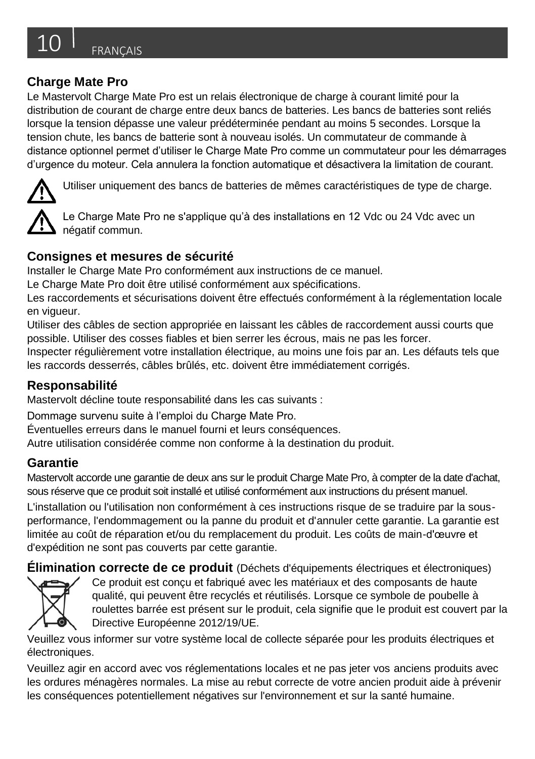Le Mastervolt Charge Mate Pro est un relais électronique de charge à courant limité pour la distribution de courant de charge entre deux bancs de batteries. Les bancs de batteries sont reliés lorsque la tension dépasse une valeur prédéterminée pendant au moins 5 secondes. Lorsque la tension chute, les bancs de batterie sont à nouveau isolés. Un commutateur de commande à distance optionnel permet d'utiliser le Charge Mate Pro comme un commutateur pour les démarrages d'urgence du moteur. Cela annulera la fonction automatique et désactivera la limitation de courant.



Utiliser uniquement des bancs de batteries de mêmes caractéristiques de type de charge.

Le Charge Mate Pro ne s'applique qu'à des installations en 12 Vdc ou 24 Vdc avec un négatif commun.

## **Consignes et mesures de sécurité**

Installer le Charge Mate Pro conformément aux instructions de ce manuel.

Le Charge Mate Pro doit être utilisé conformément aux spécifications.

Les raccordements et sécurisations doivent être effectués conformément à la réglementation locale en vigueur.

Utiliser des câbles de section appropriée en laissant les câbles de raccordement aussi courts que possible. Utiliser des cosses fiables et bien serrer les écrous, mais ne pas les forcer.

Inspecter régulièrement votre installation électrique, au moins une fois par an. Les défauts tels que les raccords desserrés, câbles brûlés, etc. doivent être immédiatement corrigés.

## **Responsabilité**

Mastervolt décline toute responsabilité dans les cas suivants :

Dommage survenu suite à l'emploi du Charge Mate Pro.

Éventuelles erreurs dans le manuel fourni et leurs conséquences.

Autre utilisation considérée comme non conforme à la destination du produit.

## **Garantie**

Mastervolt accorde une garantie de deux ans sur le produit Charge Mate Pro, à compter de la date d'achat, sous réserve que ce produit soit installé et utilisé conformément aux instructions du présent manuel.

L'installation ou l'utilisation non conformément à ces instructions risque de se traduire par la sousperformance, l'endommagement ou la panne du produit et d'annuler cette garantie. La garantie est limitée au coût de réparation et/ou du remplacement du produit. Les coûts de main-d'œuvre et d'expédition ne sont pas couverts par cette garantie.

**Élimination correcte de ce produit** (Déchets d'équipements électriques et électroniques)



Ce produit est conçu et fabriqué avec les matériaux et des composants de haute qualité, qui peuvent être recyclés et réutilisés. Lorsque ce symbole de poubelle à roulettes barrée est présent sur le produit, cela signifie que le produit est couvert par la Directive Européenne 2012/19/UE.

Veuillez vous informer sur votre système local de collecte séparée pour les produits électriques et électroniques.

Veuillez agir en accord avec vos réglementations locales et ne pas jeter vos anciens produits avec les ordures ménagères normales. La mise au rebut correcte de votre ancien produit aide à prévenir les conséquences potentiellement négatives sur l'environnement et sur la santé humaine.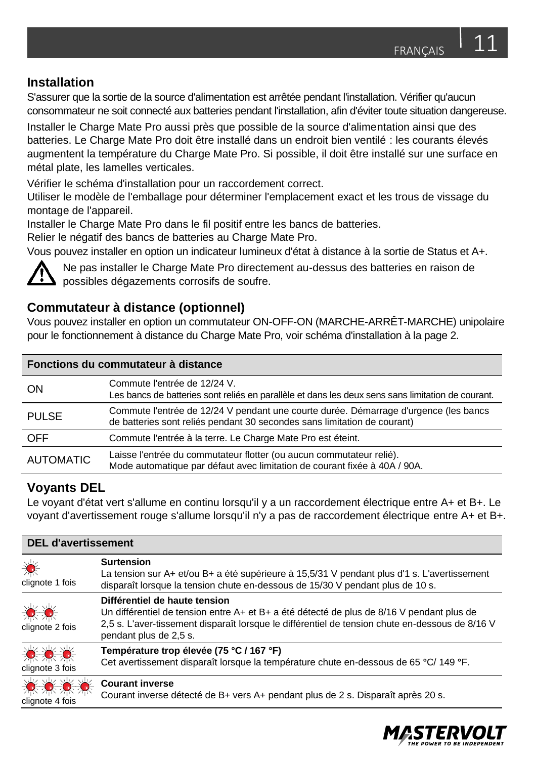#### **Installation**

S'assurer que la sortie de la source d'alimentation est arrêtée pendant l'installation. Vérifier qu'aucun consommateur ne soit connecté aux batteries pendant l'installation, afin d'éviter toute situation dangereuse.

Installer le Charge Mate Pro aussi près que possible de la source d'alimentation ainsi que des batteries. Le Charge Mate Pro doit être installé dans un endroit bien ventilé : les courants élevés augmentent la température du Charge Mate Pro. Si possible, il doit être installé sur une surface en métal plate, les lamelles verticales.

Vérifier le schéma d'installation pour un raccordement correct.

Utiliser le modèle de l'emballage pour déterminer l'emplacement exact et les trous de vissage du montage de l'appareil.

Installer le Charge Mate Pro dans le fil positif entre les bancs de batteries.

Relier le négatif des bancs de batteries au Charge Mate Pro.

Vous pouvez installer en option un indicateur lumineux d'état à distance à la sortie de Status et A+.



Ne pas installer le Charge Mate Pro directement au-dessus des batteries en raison de possibles dégazements corrosifs de soufre.

## **Commutateur à distance (optionnel)**

Vous pouvez installer en option un commutateur ON-OFF-ON (MARCHE-ARRÊT-MARCHE) unipolaire pour le fonctionnement à distance du Charge Mate Pro, voir schéma d'installation à la page 2.

| Fonctions du commutateur à distance |                                                                                                                                                                  |
|-------------------------------------|------------------------------------------------------------------------------------------------------------------------------------------------------------------|
| ON                                  | Commute l'entrée de 12/24 V.<br>Les bancs de batteries sont reliés en parallèle et dans les deux sens sans limitation de courant.                                |
| <b>PULSE</b>                        | Commute l'entrée de 12/24 V pendant une courte durée. Démarrage d'urgence (les bancs<br>de batteries sont reliés pendant 30 secondes sans limitation de courant) |
| <b>OFF</b>                          | Commute l'entrée à la terre. Le Charge Mate Pro est éteint.                                                                                                      |
| <b>AUTOMATIC</b>                    | Laisse l'entrée du commutateur flotter (ou aucun commutateur relié).<br>Mode automatique par défaut avec limitation de courant fixée à 40A / 90A.                |

#### **Voyants DEL**

Le voyant d'état vert s'allume en continu lorsqu'il y a un raccordement électrique entre A+ et B+. Le voyant d'avertissement rouge s'allume lorsqu'il n'y a pas de raccordement électrique entre A+ et B+.

| <b>DEL d'avertissement</b>                       |                                                                                                                                                                                                                                                         |  |
|--------------------------------------------------|---------------------------------------------------------------------------------------------------------------------------------------------------------------------------------------------------------------------------------------------------------|--|
| 漾<br>clignote 1 fois                             | <b>Surtension</b><br>La tension sur A+ et/ou B+ a été supérieure à 15,5/31 V pendant plus d'1 s. L'avertissement<br>disparaît lorsque la tension chute en-dessous de 15/30 V pendant plus de 10 s.                                                      |  |
| ☀☀<br>clignote 2 fois                            | Différentiel de haute tension<br>Un différentiel de tension entre A+ et B+ a été détecté de plus de 8/16 V pendant plus de<br>2,5 s. L'aver-tissement disparaît lorsque le différentiel de tension chute en-dessous de 8/16 V<br>pendant plus de 2,5 s. |  |
| ☀☀☀<br>clignote 3 fois                           | Température trop élevée (75 °C / 167 °F)<br>Cet avertissement disparaît lorsque la température chute en-dessous de 65 °C/ 149 °F.                                                                                                                       |  |
| $\bullet$ $\bullet$ $\bullet$<br>clignote 4 fois | <b>Courant inverse</b><br>Courant inverse détecté de B+ vers A+ pendant plus de 2 s. Disparaît après 20 s.                                                                                                                                              |  |

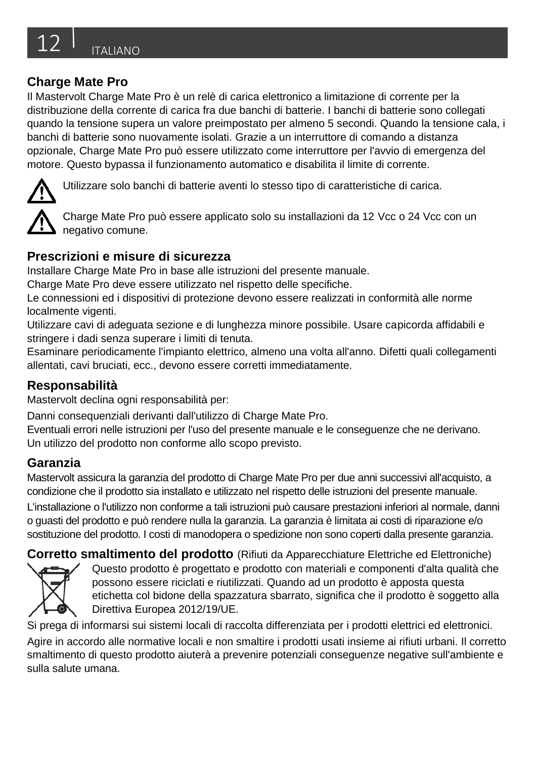Il Mastervolt Charge Mate Pro è un relè di carica elettronico a limitazione di corrente per la distribuzione della corrente di carica fra due banchi di batterie. I banchi di batterie sono collegati quando la tensione supera un valore preimpostato per almeno 5 secondi. Quando la tensione cala, i banchi di batterie sono nuovamente isolati. Grazie a un interruttore di comando a distanza opzionale, Charge Mate Pro può essere utilizzato come interruttore per l'avvio di emergenza del motore. Questo bypassa il funzionamento automatico e disabilita il limite di corrente.



Utilizzare solo banchi di batterie aventi lo stesso tipo di caratteristiche di carica.

Charge Mate Pro può essere applicato solo su installazioni da 12 Vcc o 24 Vcc con un negativo comune.

#### **Prescrizioni e misure di sicurezza**

Installare Charge Mate Pro in base alle istruzioni del presente manuale.

Charge Mate Pro deve essere utilizzato nel rispetto delle specifiche.

Le connessioni ed i dispositivi di protezione devono essere realizzati in conformità alle norme localmente vigenti.

Utilizzare cavi di adeguata sezione e di lunghezza minore possibile. Usare capicorda affidabili e stringere i dadi senza superare i limiti di tenuta.

Esaminare periodicamente l'impianto elettrico, almeno una volta all'anno. Difetti quali collegamenti allentati, cavi bruciati, ecc., devono essere corretti immediatamente.

## **Responsabilità**

Mastervolt declina ogni responsabilità per:

Danni consequenziali derivanti dall'utilizzo di Charge Mate Pro.

Eventuali errori nelle istruzioni per l'uso del presente manuale e le conseguenze che ne derivano. Un utilizzo del prodotto non conforme allo scopo previsto.

## **Garanzia**

Mastervolt assicura la garanzia del prodotto di Charge Mate Pro per due anni successivi all'acquisto, a condizione che il prodotto sia installato e utilizzato nel rispetto delle istruzioni del presente manuale. L'installazione o l'utilizzo non conforme a tali istruzioni può causare prestazioni inferiori al normale, danni o guasti del prodotto e può rendere nulla la garanzia. La garanzia è limitata ai costi di riparazione e/o sostituzione del prodotto. I costi di manodopera o spedizione non sono coperti dalla presente garanzia.

**Corretto smaltimento del prodotto** (Rifiuti da Apparecchiature Elettriche ed Elettroniche)



Questo prodotto è progettato e prodotto con materiali e componenti d'alta qualità che possono essere riciclati e riutilizzati. Quando ad un prodotto è apposta questa etichetta col bidone della spazzatura sbarrato, significa che il prodotto è soggetto alla Direttiva Europea 2012/19/UE.

Si prega di informarsi sui sistemi locali di raccolta differenziata per i prodotti elettrici ed elettronici.

Agire in accordo alle normative locali e non smaltire i prodotti usati insieme ai rifiuti urbani. Il corretto smaltimento di questo prodotto aiuterà a prevenire potenziali conseguenze negative sull'ambiente e sulla salute umana.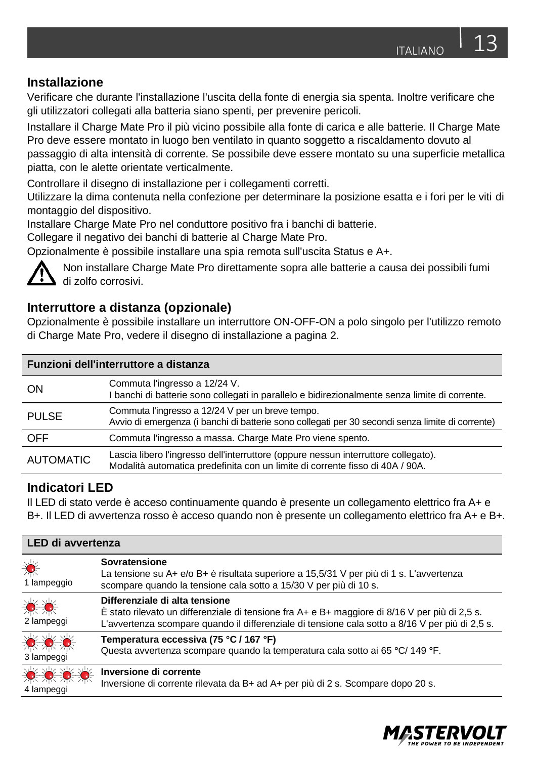#### **Installazione**

Verificare che durante l'installazione l'uscita della fonte di energia sia spenta. Inoltre verificare che gli utilizzatori collegati alla batteria siano spenti, per prevenire pericoli.

Installare il Charge Mate Pro il più vicino possibile alla fonte di carica e alle batterie. Il Charge Mate Pro deve essere montato in luogo ben ventilato in quanto soggetto a riscaldamento dovuto al passaggio di alta intensità di corrente. Se possibile deve essere montato su una superficie metallica piatta, con le alette orientate verticalmente.

Controllare il disegno di installazione per i collegamenti corretti.

Utilizzare la dima contenuta nella confezione per determinare la posizione esatta e i fori per le viti di montaggio del dispositivo.

Installare Charge Mate Pro nel conduttore positivo fra i banchi di batterie.

Collegare il negativo dei banchi di batterie al Charge Mate Pro.

Opzionalmente è possibile installare una spia remota sull'uscita Status e A+.



Non installare Charge Mate Pro direttamente sopra alle batterie a causa dei possibili fumi di zolfo corrosivi.

## **Interruttore a distanza (opzionale)**

Opzionalmente è possibile installare un interruttore ON-OFF-ON a polo singolo per l'utilizzo remoto di Charge Mate Pro, vedere il disegno di installazione a pagina 2.

| Funzioni dell'interruttore a distanza |                                                                                                                                                                     |  |
|---------------------------------------|---------------------------------------------------------------------------------------------------------------------------------------------------------------------|--|
| ON                                    | Commuta l'ingresso a 12/24 V.<br>I banchi di batterie sono collegati in parallelo e bidirezionalmente senza limite di corrente.                                     |  |
| <b>PULSE</b>                          | Commuta l'ingresso a 12/24 V per un breve tempo.<br>Avvio di emergenza (i banchi di batterie sono collegati per 30 secondi senza limite di corrente)                |  |
| <b>OFF</b>                            | Commuta l'ingresso a massa. Charge Mate Pro viene spento.                                                                                                           |  |
| <b>AUTOMATIC</b>                      | Lascia libero l'ingresso dell'interruttore (oppure nessun interruttore collegato).<br>Modalità automatica predefinita con un limite di corrente fisso di 40A / 90A. |  |

#### **Indicatori LED**

Il LED di stato verde è acceso continuamente quando è presente un collegamento elettrico fra A+ e B+. Il LED di avvertenza rosso è acceso quando non è presente un collegamento elettrico fra A+ e B+.

| <b>LED di avvertenza</b> |                                                                                                                                                                                                                                                  |
|--------------------------|--------------------------------------------------------------------------------------------------------------------------------------------------------------------------------------------------------------------------------------------------|
| 美<br>1 lampeggio         | Sovratensione<br>La tensione su A+ e/o B+ è risultata superiore a 15,5/31 V per più di 1 s. L'avvertenza<br>scompare quando la tensione cala sotto a 15/30 V per più di 10 s.                                                                    |
| 赏赏<br>2 lampeggi         | Differenziale di alta tensione<br>$\overline{E}$ stato rilevato un differenziale di tensione fra A+ e B+ maggiore di 8/16 V per più di 2,5 s.<br>L'avvertenza scompare quando il differenziale di tensione cala sotto a 8/16 V per più di 2,5 s. |
| ☀☀☀<br>3 lampeggi        | Temperatura eccessiva (75 °C / 167 °F)<br>Questa avvertenza scompare quando la temperatura cala sotto ai 65 °C/ 149 °F.                                                                                                                          |
| ☀☀☀<br>4 lampeggi        | Inversione di corrente<br>Inversione di corrente rilevata da B+ ad A+ per più di 2 s. Scompare dopo 20 s.                                                                                                                                        |

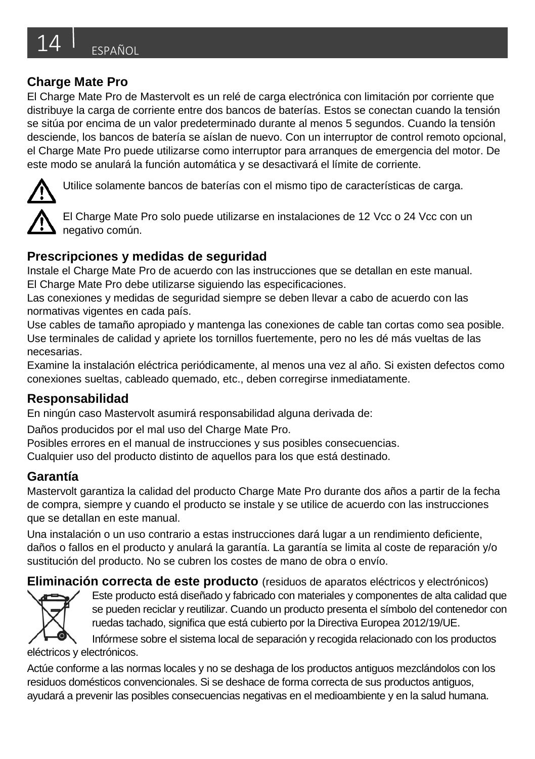El Charge Mate Pro de Mastervolt es un relé de carga electrónica con limitación por corriente que distribuye la carga de corriente entre dos bancos de baterías. Estos se conectan cuando la tensión se sitúa por encima de un valor predeterminado durante al menos 5 segundos. Cuando la tensión desciende, los bancos de batería se aíslan de nuevo. Con un interruptor de control remoto opcional, el Charge Mate Pro puede utilizarse como interruptor para arranques de emergencia del motor. De este modo se anulará la función automática y se desactivará el límite de corriente.



Utilice solamente bancos de baterías con el mismo tipo de características de carga.

El Charge Mate Pro solo puede utilizarse en instalaciones de 12 Vcc o 24 Vcc con un negativo común.

## **Prescripciones y medidas de seguridad**

Instale el Charge Mate Pro de acuerdo con las instrucciones que se detallan en este manual. El Charge Mate Pro debe utilizarse siguiendo las especificaciones.

Las conexiones y medidas de seguridad siempre se deben llevar a cabo de acuerdo con las normativas vigentes en cada país.

Use cables de tamaño apropiado y mantenga las conexiones de cable tan cortas como sea posible. Use terminales de calidad y apriete los tornillos fuertemente, pero no les dé más vueltas de las necesarias.

Examine la instalación eléctrica periódicamente, al menos una vez al año. Si existen defectos como conexiones sueltas, cableado quemado, etc., deben corregirse inmediatamente.

## **Responsabilidad**

En ningún caso Mastervolt asumirá responsabilidad alguna derivada de:

Daños producidos por el mal uso del Charge Mate Pro.

Posibles errores en el manual de instrucciones y sus posibles consecuencias.

Cualquier uso del producto distinto de aquellos para los que está destinado.

## **Garantía**

Mastervolt garantiza la calidad del producto Charge Mate Pro durante dos años a partir de la fecha de compra, siempre y cuando el producto se instale y se utilice de acuerdo con las instrucciones que se detallan en este manual.

Una instalación o un uso contrario a estas instrucciones dará lugar a un rendimiento deficiente, daños o fallos en el producto y anulará la garantía. La garantía se limita al coste de reparación y/o sustitución del producto. No se cubren los costes de mano de obra o envío.

**Eliminación correcta de este producto** (residuos de aparatos eléctricos y electrónicos)



Este producto está diseñado y fabricado con materiales y componentes de alta calidad que se pueden reciclar y reutilizar. Cuando un producto presenta el símbolo del contenedor con ruedas tachado, significa que está cubierto por la Directiva Europea 2012/19/UE.

Infórmese sobre el sistema local de separación y recogida relacionado con los productos eléctricos y electrónicos.

Actúe conforme a las normas locales y no se deshaga de los productos antiguos mezclándolos con los residuos domésticos convencionales. Si se deshace de forma correcta de sus productos antiguos, ayudará a prevenir las posibles consecuencias negativas en el medioambiente y en la salud humana.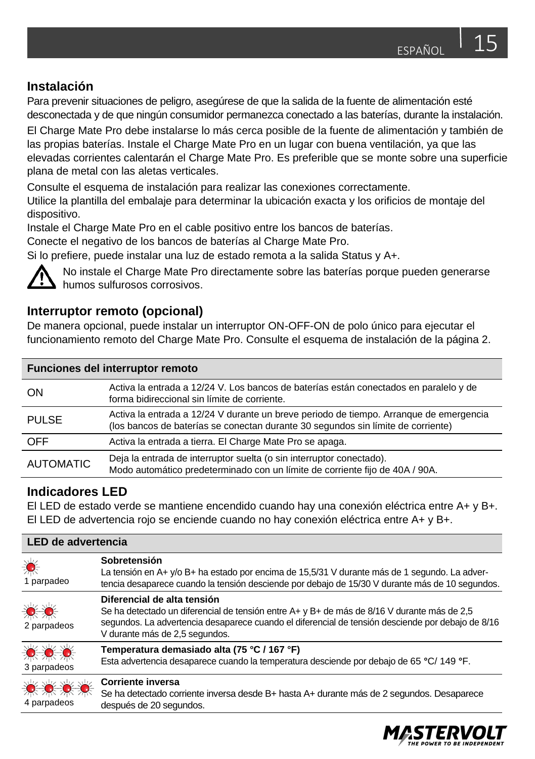#### **Instalación**

Para prevenir situaciones de peligro, asegúrese de que la salida de la fuente de alimentación esté desconectada y de que ningún consumidor permanezca conectado a las baterías, durante la instalación.

El Charge Mate Pro debe instalarse lo más cerca posible de la fuente de alimentación y también de las propias baterías. Instale el Charge Mate Pro en un lugar con buena ventilación, ya que las elevadas corrientes calentarán el Charge Mate Pro. Es preferible que se monte sobre una superficie plana de metal con las aletas verticales.

Consulte el esquema de instalación para realizar las conexiones correctamente.

Utilice la plantilla del embalaje para determinar la ubicación exacta y los orificios de montaje del dispositivo.

Instale el Charge Mate Pro en el cable positivo entre los bancos de baterías.

Conecte el negativo de los bancos de baterías al Charge Mate Pro.

Si lo prefiere, puede instalar una luz de estado remota a la salida Status y A+.



No instale el Charge Mate Pro directamente sobre las baterías porque pueden generarse humos sulfurosos corrosivos.

#### **Interruptor remoto (opcional)**

De manera opcional, puede instalar un interruptor ON-OFF-ON de polo único para ejecutar el funcionamiento remoto del Charge Mate Pro. Consulte el esquema de instalación de la página 2.

| Funciones del interruptor remoto |                                                                                                                                                                            |  |
|----------------------------------|----------------------------------------------------------------------------------------------------------------------------------------------------------------------------|--|
| ON                               | Activa la entrada a 12/24 V. Los bancos de baterías están conectados en paralelo y de<br>forma bidireccional sin límite de corriente.                                      |  |
| <b>PULSE</b>                     | Activa la entrada a 12/24 V durante un breve periodo de tiempo. Arrangue de emergencia<br>(los bancos de baterías se conectan durante 30 segundos sin límite de corriente) |  |
| <b>OFF</b>                       | Activa la entrada a tierra. El Charge Mate Pro se apaga.                                                                                                                   |  |
| <b>AUTOMATIC</b>                 | Deja la entrada de interruptor suelta (o sin interruptor conectado).<br>Modo automático predeterminado con un límite de corriente fijo de 40A / 90A.                       |  |

#### **Indicadores LED**

El LED de estado verde se mantiene encendido cuando hay una conexión eléctrica entre A+ y B+. El LED de advertencia rojo se enciende cuando no hay conexión eléctrica entre A+ y B+.

| <b>LED de advertencia</b>                    |                                                                                                                                                                                                                                                                   |
|----------------------------------------------|-------------------------------------------------------------------------------------------------------------------------------------------------------------------------------------------------------------------------------------------------------------------|
| ☀<br>1 parpadeo                              | Sobretensión<br>La tensión en A+ y/o B+ ha estado por encima de 15,5/31 V durante más de 1 segundo. La adver-<br>tencia desaparece cuando la tensión desciende por debajo de 15/30 V durante más de 10 segundos.                                                  |
| ☀☀<br>2 parpadeos                            | Diferencial de alta tensión<br>Se ha detectado un diferencial de tensión entre A+ y B+ de más de 8/16 V durante más de 2,5<br>segundos. La advertencia desaparece cuando el diferencial de tensión desciende por debajo de 8/16<br>V durante más de 2,5 segundos. |
| ☀☀☀<br>3 parpadeos                           | Temperatura demasiado alta (75 °C / 167 °F)<br>Esta advertencia desaparece cuando la temperatura desciende por debajo de 65 °C/ 149 °F.                                                                                                                           |
| $\bullet$ $\bullet$ $\bullet$<br>4 parpadeos | Corriente inversa<br>Se ha detectado corriente inversa desde B+ hasta A+ durante más de 2 segundos. Desaparece<br>después de 20 segundos.                                                                                                                         |